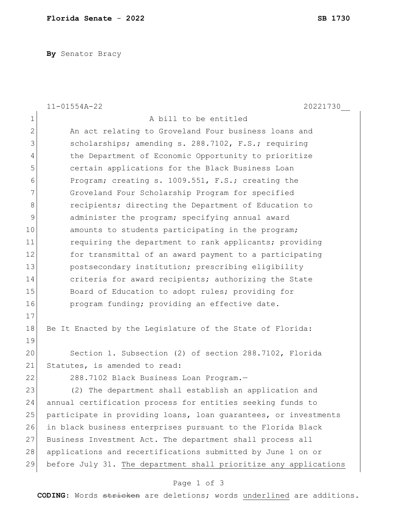**By** Senator Bracy

|                | $11 - 01554A - 22$<br>20221730                                   |
|----------------|------------------------------------------------------------------|
| 1              | A bill to be entitled                                            |
| $\overline{2}$ | An act relating to Groveland Four business loans and             |
| 3              | scholarships; amending s. 288.7102, F.S.; requiring              |
| 4              | the Department of Economic Opportunity to prioritize             |
| 5              | certain applications for the Black Business Loan                 |
| 6              | Program; creating s. 1009.551, F.S.; creating the                |
| 7              | Groveland Four Scholarship Program for specified                 |
| 8              | recipients; directing the Department of Education to             |
| 9              | administer the program; specifying annual award                  |
| 10             | amounts to students participating in the program;                |
| 11             | requiring the department to rank applicants; providing           |
| 12             | for transmittal of an award payment to a participating           |
| 13             | postsecondary institution; prescribing eligibility               |
| 14             | criteria for award recipients; authorizing the State             |
| 15             | Board of Education to adopt rules; providing for                 |
| 16             | program funding; providing an effective date.                    |
| 17             |                                                                  |
| 18             | Be It Enacted by the Legislature of the State of Florida:        |
| 19             |                                                                  |
| 20             | Section 1. Subsection (2) of section 288.7102, Florida           |
| 21             | Statutes, is amended to read:                                    |
| 22             | 288.7102 Black Business Loan Program.-                           |
| 23             | (2) The department shall establish an application and            |
| 24             | annual certification process for entities seeking funds to       |
| 25             | participate in providing loans, loan quarantees, or investments  |
| 26             | in black business enterprises pursuant to the Florida Black      |
| 27             | Business Investment Act. The department shall process all        |
| 28             | applications and recertifications submitted by June 1 on or      |
| 29             | before July 31. The department shall prioritize any applications |

## Page 1 of 3

**CODING**: Words stricken are deletions; words underlined are additions.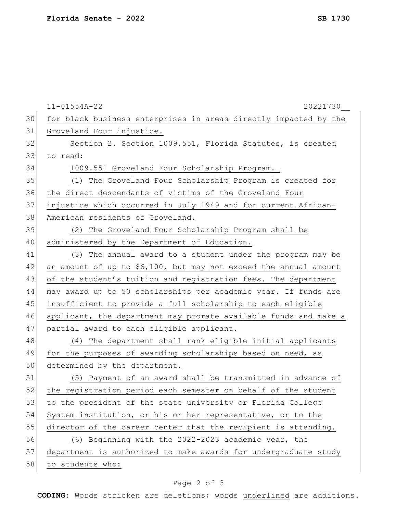|    | $11 - 01554A - 22$<br>20221730                                   |
|----|------------------------------------------------------------------|
| 30 | for black business enterprises in areas directly impacted by the |
| 31 | Groveland Four injustice.                                        |
| 32 | Section 2. Section 1009.551, Florida Statutes, is created        |
| 33 | to read:                                                         |
| 34 | 1009.551 Groveland Four Scholarship Program.-                    |
| 35 | (1) The Groveland Four Scholarship Program is created for        |
| 36 | the direct descendants of victims of the Groveland Four          |
| 37 | injustice which occurred in July 1949 and for current African-   |
| 38 | American residents of Groveland.                                 |
| 39 | (2) The Groveland Four Scholarship Program shall be              |
| 40 | administered by the Department of Education.                     |
| 41 | (3) The annual award to a student under the program may be       |
| 42 | an amount of up to \$6,100, but may not exceed the annual amount |
| 43 | of the student's tuition and registration fees. The department   |
| 44 | may award up to 50 scholarships per academic year. If funds are  |
| 45 | insufficient to provide a full scholarship to each eligible      |
| 46 | applicant, the department may prorate available funds and make a |
| 47 | partial award to each eligible applicant.                        |
| 48 | (4) The department shall rank eligible initial applicants        |
| 49 | for the purposes of awarding scholarships based on need, as      |
| 50 | determined by the department.                                    |
| 51 | (5) Payment of an award shall be transmitted in advance of       |
| 52 | the registration period each semester on behalf of the student   |
| 53 | to the president of the state university or Florida College      |
| 54 | System institution, or his or her representative, or to the      |
| 55 | director of the career center that the recipient is attending.   |
| 56 | (6) Beginning with the 2022-2023 academic year, the              |
| 57 | department is authorized to make awards for undergraduate study  |
| 58 | to students who:                                                 |

## Page 2 of 3

**CODING**: Words stricken are deletions; words underlined are additions.